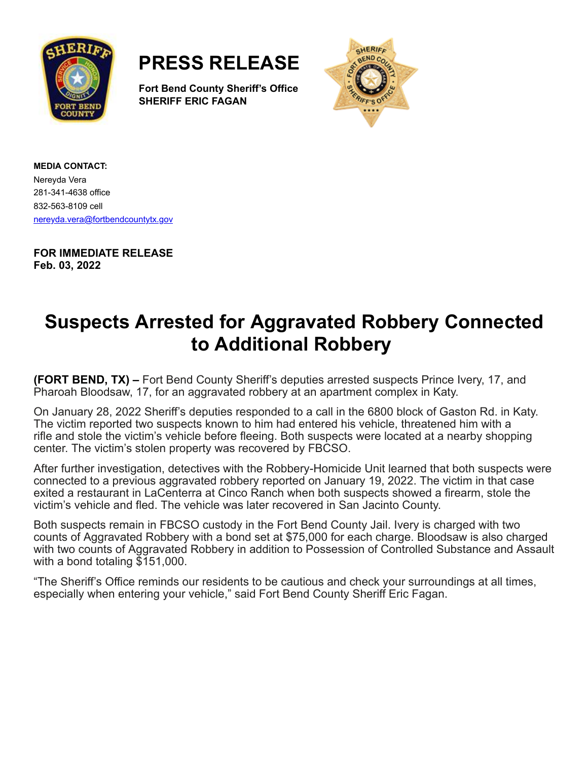



**Fort Bend County Sheriff's Office SHERIFF ERIC FAGAN**



**MEDIA CONTACT:** Nereyda Vera 281-341-4638 office 832-563-8109 cell [nereyda.vera@fortbendcountytx.gov](mailto:jacqueline.preston@fortbendcountytx.gov)

**FOR IMMEDIATE RELEASE Feb. 03, 2022**

## **Suspects Arrested for Aggravated Robbery Connected to Additional Robbery**

**(FORT BEND, TX) –** Fort Bend County Sheriff's deputies arrested suspects Prince Ivery, 17, and Pharoah Bloodsaw, 17, for an aggravated robbery at an apartment complex in Katy.

On January 28, 2022 Sheriff's deputies responded to a call in the 6800 block of Gaston Rd. in Katy. The victim reported two suspects known to him had entered his vehicle, threatened him with a rifle and stole the victim's vehicle before fleeing. Both suspects were located at a nearby shopping center. The victim's stolen property was recovered by FBCSO.

After further investigation, detectives with the Robbery-Homicide Unit learned that both suspects were connected to a previous aggravated robbery reported on January 19, 2022. The victim in that case exited a restaurant in LaCenterra at Cinco Ranch when both suspects showed a firearm, stole the victim's vehicle and fled. The vehicle was later recovered in San Jacinto County.

Both suspects remain in FBCSO custody in the Fort Bend County Jail. Ivery is charged with two counts of Aggravated Robbery with a bond set at \$75,000 for each charge. Bloodsaw is also charged with two counts of Aggravated Robbery in addition to Possession of Controlled Substance and Assault with a bond totaling \$151,000.

"The Sheriff's Office reminds our residents to be cautious and check your surroundings at all times, especially when entering your vehicle," said Fort Bend County Sheriff Eric Fagan.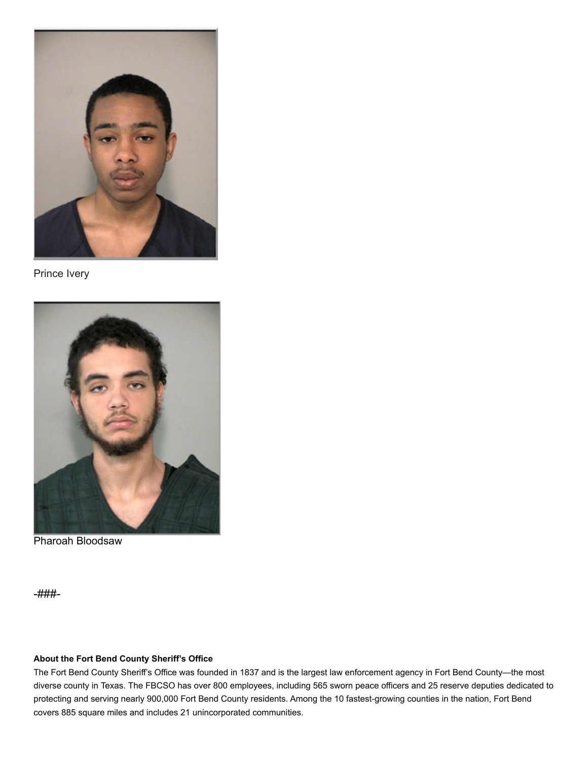

Prince Ivery



Pharoah Bloodsaw

-###-

## **About the Fort Bend County Sheriff's Office**

The Fort Bend County Sheriff's Office was founded in 1837 and is the largest law enforcement agency in Fort Bend County—the most diverse county in Texas. The FBCSO has over 800 employees, including 565 sworn peace officers and 25 reserve deputies dedicated to protecting and serving nearly 900,000 Fort Bend County residents. Among the 10 fastest-growing counties in the nation, Fort Bend covers 885 square miles and includes 21 unincorporated communities.